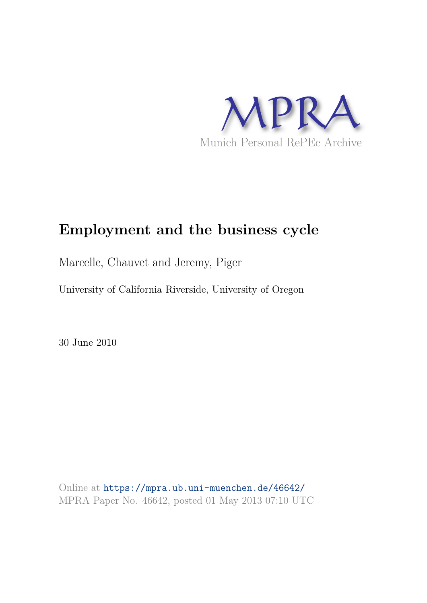

# **Employment and the business cycle**

Marcelle, Chauvet and Jeremy, Piger

University of California Riverside, University of Oregon

30 June 2010

Online at https://mpra.ub.uni-muenchen.de/46642/ MPRA Paper No. 46642, posted 01 May 2013 07:10 UTC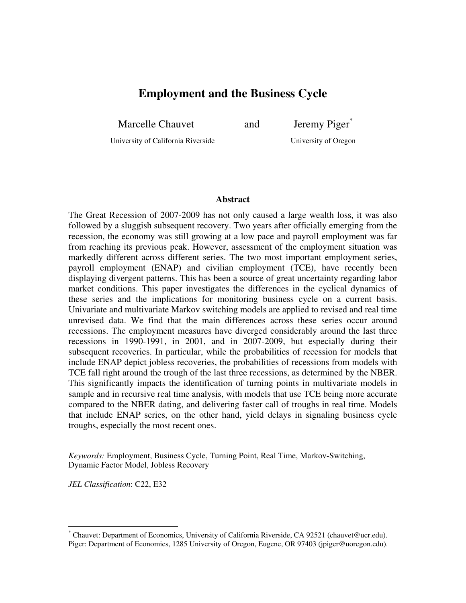# **Employment and the Business Cycle**

Marcelle Chauvet and Jeremy Piger<sup>\*</sup>

University of California Riverside University of Oregon

#### **Abstract**

The Great Recession of 2007-2009 has not only caused a large wealth loss, it was also followed by a sluggish subsequent recovery. Two years after officially emerging from the recession, the economy was still growing at a low pace and payroll employment was far from reaching its previous peak. However, assessment of the employment situation was markedly different across different series. The two most important employment series, payroll employment (ENAP) and civilian employment (TCE), have recently been displaying divergent patterns. This has been a source of great uncertainty regarding labor market conditions. This paper investigates the differences in the cyclical dynamics of these series and the implications for monitoring business cycle on a current basis. Univariate and multivariate Markov switching models are applied to revised and real time unrevised data. We find that the main differences across these series occur around recessions. The employment measures have diverged considerably around the last three recessions in 1990-1991, in 2001, and in 2007-2009, but especially during their subsequent recoveries. In particular, while the probabilities of recession for models that include ENAP depict jobless recoveries, the probabilities of recessions from models with TCE fall right around the trough of the last three recessions, as determined by the NBER. This significantly impacts the identification of turning points in multivariate models in sample and in recursive real time analysis, with models that use TCE being more accurate compared to the NBER dating, and delivering faster call of troughs in real time. Models that include ENAP series, on the other hand, yield delays in signaling business cycle troughs, especially the most recent ones.

*Keywords:* Employment, Business Cycle, Turning Point, Real Time, Markov-Switching, Dynamic Factor Model, Jobless Recovery

*JEL Classification*: C22, E32

 $\overline{a}$ 

<sup>\*</sup> Chauvet: Department of Economics, University of California Riverside, CA 92521 (chauvet@ucr.edu). Piger: Department of Economics, 1285 University of Oregon, Eugene, OR 97403 (jpiger@uoregon.edu).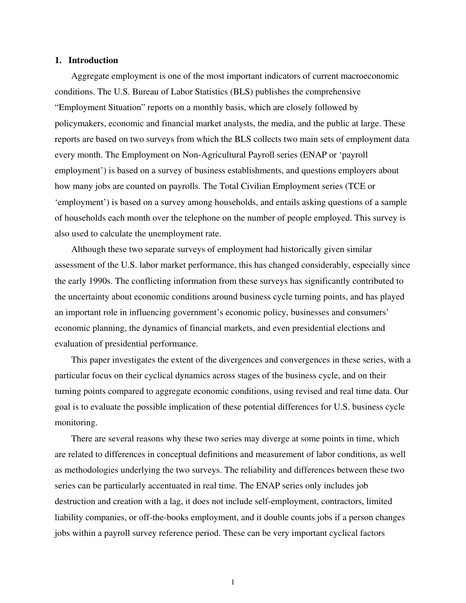#### **1. Introduction**

 Aggregate employment is one of the most important indicators of current macroeconomic conditions. The U.S. Bureau of Labor Statistics (BLS) publishes the comprehensive "Employment Situation" reports on a monthly basis, which are closely followed by policymakers, economic and financial market analysts, the media, and the public at large. These reports are based on two surveys from which the BLS collects two main sets of employment data every month. The Employment on Non-Agricultural Payroll series (ENAP or 'payroll employment') is based on a survey of business establishments, and questions employers about how many jobs are counted on payrolls. The Total Civilian Employment series (TCE or 'employment') is based on a survey among households, and entails asking questions of a sample of households each month over the telephone on the number of people employed. This survey is also used to calculate the unemployment rate.

 Although these two separate surveys of employment had historically given similar assessment of the U.S. labor market performance, this has changed considerably, especially since the early 1990s. The conflicting information from these surveys has significantly contributed to the uncertainty about economic conditions around business cycle turning points, and has played an important role in influencing government's economic policy, businesses and consumers' economic planning, the dynamics of financial markets, and even presidential elections and evaluation of presidential performance.

 This paper investigates the extent of the divergences and convergences in these series, with a particular focus on their cyclical dynamics across stages of the business cycle, and on their turning points compared to aggregate economic conditions, using revised and real time data. Our goal is to evaluate the possible implication of these potential differences for U.S. business cycle monitoring.

 There are several reasons why these two series may diverge at some points in time, which are related to differences in conceptual definitions and measurement of labor conditions, as well as methodologies underlying the two surveys. The reliability and differences between these two series can be particularly accentuated in real time. The ENAP series only includes job destruction and creation with a lag, it does not include self-employment, contractors, limited liability companies, or off-the-books employment, and it double counts jobs if a person changes jobs within a payroll survey reference period. These can be very important cyclical factors

1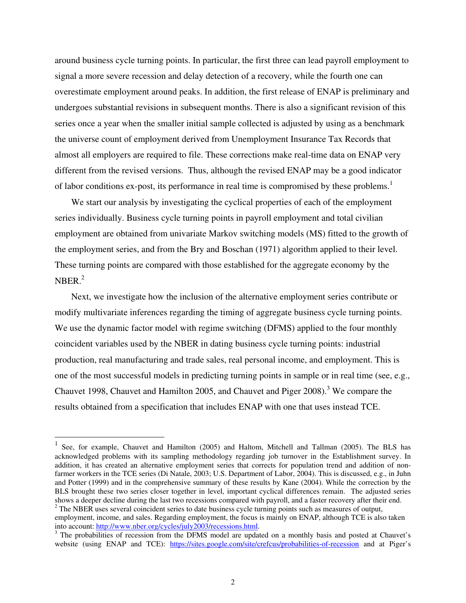around business cycle turning points. In particular, the first three can lead payroll employment to signal a more severe recession and delay detection of a recovery, while the fourth one can overestimate employment around peaks. In addition, the first release of ENAP is preliminary and undergoes substantial revisions in subsequent months. There is also a significant revision of this series once a year when the smaller initial sample collected is adjusted by using as a benchmark the universe count of employment derived from Unemployment Insurance Tax Records that almost all employers are required to file. These corrections make real-time data on ENAP very different from the revised versions. Thus, although the revised ENAP may be a good indicator of labor conditions ex-post, its performance in real time is compromised by these problems.<sup>1</sup>

 We start our analysis by investigating the cyclical properties of each of the employment series individually. Business cycle turning points in payroll employment and total civilian employment are obtained from univariate Markov switching models (MS) fitted to the growth of the employment series, and from the Bry and Boschan (1971) algorithm applied to their level. These turning points are compared with those established for the aggregate economy by the  $NBER.<sup>2</sup>$ 

 Next, we investigate how the inclusion of the alternative employment series contribute or modify multivariate inferences regarding the timing of aggregate business cycle turning points. We use the dynamic factor model with regime switching (DFMS) applied to the four monthly coincident variables used by the NBER in dating business cycle turning points: industrial production, real manufacturing and trade sales, real personal income, and employment. This is one of the most successful models in predicting turning points in sample or in real time (see, e.g., Chauvet 1998, Chauvet and Hamilton 2005, and Chauvet and Piger 2008).<sup>3</sup> We compare the results obtained from a specification that includes ENAP with one that uses instead TCE.

 $\overline{a}$ 

<sup>1</sup> See, for example, Chauvet and Hamilton (2005) and Haltom, Mitchell and Tallman (2005). The BLS has acknowledged problems with its sampling methodology regarding job turnover in the Establishment survey. In addition, it has created an alternative employment series that corrects for population trend and addition of nonfarmer workers in the TCE series (Di Natale, 2003; U.S. Department of Labor, 2004). This is discussed, e.g., in Juhn and Potter (1999) and in the comprehensive summary of these results by Kane (2004). While the correction by the BLS brought these two series closer together in level, important cyclical differences remain. The adjusted series shows a deeper decline during the last two recessions compared with payroll, and a faster recovery after their end. <sup>2</sup> The NBER uses several coincident series to date business cycle turning points such as measures of output, employment, income, and sales. Regarding employment, the focus is mainly on ENAP, although TCE is also taken

into account: http://www.nber.org/cycles/july2003/recessions.html.

<sup>&</sup>lt;sup>3</sup> The probabilities of recession from the DFMS model are updated on a monthly basis and posted at Chauvet's website (using ENAP and TCE): https://sites.google.com/site/crefcus/probabilities-of-recession and at Piger's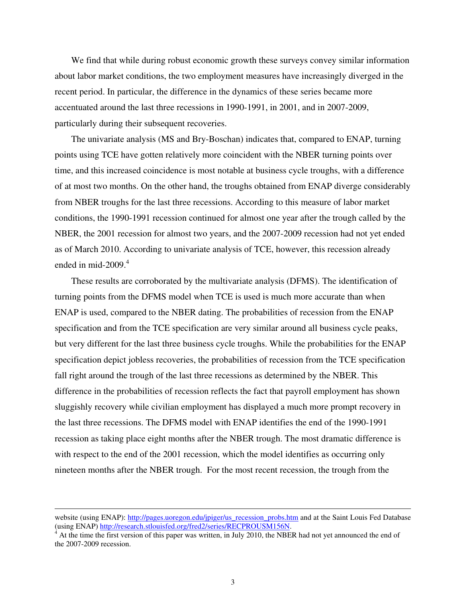We find that while during robust economic growth these surveys convey similar information about labor market conditions, the two employment measures have increasingly diverged in the recent period. In particular, the difference in the dynamics of these series became more accentuated around the last three recessions in 1990-1991, in 2001, and in 2007-2009, particularly during their subsequent recoveries.

 The univariate analysis (MS and Bry-Boschan) indicates that, compared to ENAP, turning points using TCE have gotten relatively more coincident with the NBER turning points over time, and this increased coincidence is most notable at business cycle troughs, with a difference of at most two months. On the other hand, the troughs obtained from ENAP diverge considerably from NBER troughs for the last three recessions. According to this measure of labor market conditions, the 1990-1991 recession continued for almost one year after the trough called by the NBER, the 2001 recession for almost two years, and the 2007-2009 recession had not yet ended as of March 2010. According to univariate analysis of TCE, however, this recession already ended in mid-2009. $4$ 

 These results are corroborated by the multivariate analysis (DFMS). The identification of turning points from the DFMS model when TCE is used is much more accurate than when ENAP is used, compared to the NBER dating. The probabilities of recession from the ENAP specification and from the TCE specification are very similar around all business cycle peaks, but very different for the last three business cycle troughs. While the probabilities for the ENAP specification depict jobless recoveries, the probabilities of recession from the TCE specification fall right around the trough of the last three recessions as determined by the NBER. This difference in the probabilities of recession reflects the fact that payroll employment has shown sluggishly recovery while civilian employment has displayed a much more prompt recovery in the last three recessions. The DFMS model with ENAP identifies the end of the 1990-1991 recession as taking place eight months after the NBER trough. The most dramatic difference is with respect to the end of the 2001 recession, which the model identifies as occurring only nineteen months after the NBER trough. For the most recent recession, the trough from the

 $\overline{a}$ 

website (using ENAP): http://pages.uoregon.edu/jpiger/us\_recession\_probs.htm and at the Saint Louis Fed Database (using ENAP) http://research.stlouisfed.org/fred2/series/RECPROUSM156N.<br><sup>4</sup> At the time the first version of this paper was written, in July 2010, the NBER had not yet announced the end of

the 2007-2009 recession.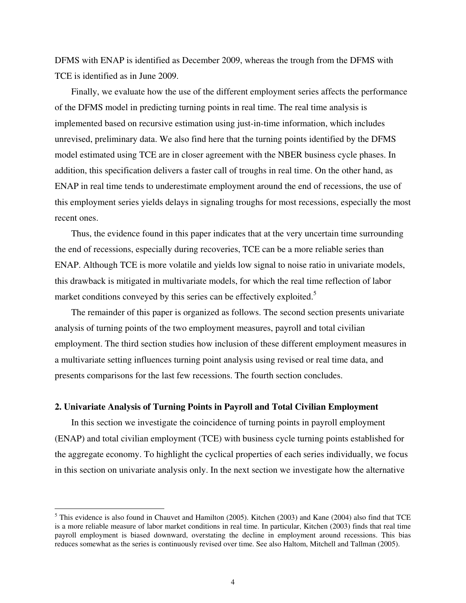DFMS with ENAP is identified as December 2009, whereas the trough from the DFMS with TCE is identified as in June 2009.

 Finally, we evaluate how the use of the different employment series affects the performance of the DFMS model in predicting turning points in real time. The real time analysis is implemented based on recursive estimation using just-in-time information, which includes unrevised, preliminary data. We also find here that the turning points identified by the DFMS model estimated using TCE are in closer agreement with the NBER business cycle phases. In addition, this specification delivers a faster call of troughs in real time. On the other hand, as ENAP in real time tends to underestimate employment around the end of recessions, the use of this employment series yields delays in signaling troughs for most recessions, especially the most recent ones.

 Thus, the evidence found in this paper indicates that at the very uncertain time surrounding the end of recessions, especially during recoveries, TCE can be a more reliable series than ENAP. Although TCE is more volatile and yields low signal to noise ratio in univariate models, this drawback is mitigated in multivariate models, for which the real time reflection of labor market conditions conveyed by this series can be effectively exploited.<sup>5</sup>

 The remainder of this paper is organized as follows. The second section presents univariate analysis of turning points of the two employment measures, payroll and total civilian employment. The third section studies how inclusion of these different employment measures in a multivariate setting influences turning point analysis using revised or real time data, and presents comparisons for the last few recessions. The fourth section concludes.

## **2. Univariate Analysis of Turning Points in Payroll and Total Civilian Employment**

-

In this section we investigate the coincidence of turning points in payroll employment (ENAP) and total civilian employment (TCE) with business cycle turning points established for the aggregate economy. To highlight the cyclical properties of each series individually, we focus in this section on univariate analysis only. In the next section we investigate how the alternative

<sup>&</sup>lt;sup>5</sup> This evidence is also found in Chauvet and Hamilton (2005). Kitchen (2003) and Kane (2004) also find that TCE is a more reliable measure of labor market conditions in real time. In particular, Kitchen (2003) finds that real time payroll employment is biased downward, overstating the decline in employment around recessions. This bias reduces somewhat as the series is continuously revised over time. See also Haltom, Mitchell and Tallman (2005).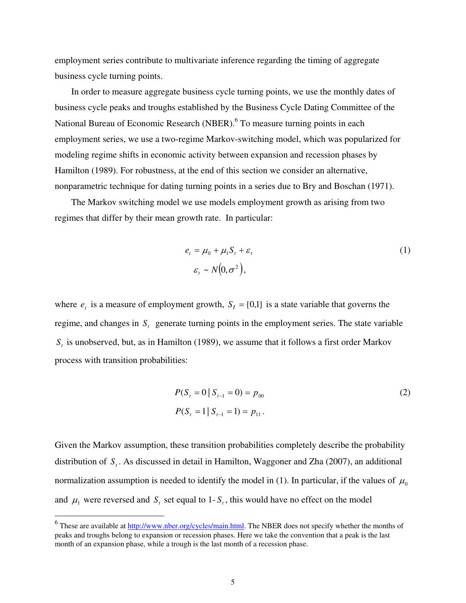employment series contribute to multivariate inference regarding the timing of aggregate business cycle turning points.

 In order to measure aggregate business cycle turning points, we use the monthly dates of business cycle peaks and troughs established by the Business Cycle Dating Committee of the National Bureau of Economic Research (NBER).<sup>6</sup> To measure turning points in each employment series, we use a two-regime Markov-switching model, which was popularized for modeling regime shifts in economic activity between expansion and recession phases by Hamilton (1989). For robustness, at the end of this section we consider an alternative, nonparametric technique for dating turning points in a series due to Bry and Boschan (1971).

 The Markov switching model we use models employment growth as arising from two regimes that differ by their mean growth rate. In particular:

$$
e_t = \mu_0 + \mu_1 S_t + \varepsilon_t
$$
  
\n
$$
\varepsilon_t \sim N(0, \sigma^2),
$$
\n(1)

where  $e_t$  is a measure of employment growth,  $S_t = \{0,1\}$  is a state variable that governs the regime, and changes in  $S<sub>t</sub>$  generate turning points in the employment series. The state variable *St* is unobserved, but, as in Hamilton (1989), we assume that it follows a first order Markov process with transition probabilities:

$$
P(St = 0 | St-1 = 0) = p00
$$
  
\n
$$
P(St = 1 | St-1 = 1) = p11.
$$
 (2)

Given the Markov assumption, these transition probabilities completely describe the probability distribution of *S<sup>t</sup>* . As discussed in detail in Hamilton, Waggoner and Zha (2007), an additional normalization assumption is needed to identify the model in (1). In particular, if the values of  $\mu_0$ and  $\mu_1$  were reversed and  $S_t$  set equal to 1- $S_t$ , this would have no effect on the model

<sup>&</sup>lt;sup>6</sup>These are available at <u>http://www.nber.org/cycles/main.html</u>. The NBER does not specify whether the months of peaks and troughs belong to expansion or recession phases. Here we take the convention that a peak is the last month of an expansion phase, while a trough is the last month of a recession phase.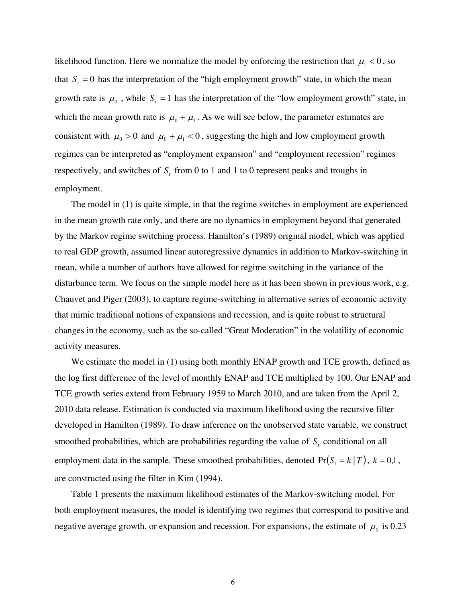likelihood function. Here we normalize the model by enforcing the restriction that  $\mu_1 < 0$ , so that  $S<sub>t</sub> = 0$  has the interpretation of the "high employment growth" state, in which the mean growth rate is  $\mu_0$ , while  $S_t = 1$  has the interpretation of the "low employment growth" state, in which the mean growth rate is  $\mu_0 + \mu_1$ . As we will see below, the parameter estimates are consistent with  $\mu_0 > 0$  and  $\mu_0 + \mu_1 < 0$ , suggesting the high and low employment growth regimes can be interpreted as "employment expansion" and "employment recession" regimes respectively, and switches of *S<sup>t</sup>* from 0 to 1 and 1 to 0 represent peaks and troughs in employment.

 The model in (1) is quite simple, in that the regime switches in employment are experienced in the mean growth rate only, and there are no dynamics in employment beyond that generated by the Markov regime switching process. Hamilton's (1989) original model, which was applied to real GDP growth, assumed linear autoregressive dynamics in addition to Markov-switching in mean, while a number of authors have allowed for regime switching in the variance of the disturbance term. We focus on the simple model here as it has been shown in previous work, e.g. Chauvet and Piger (2003), to capture regime-switching in alternative series of economic activity that mimic traditional notions of expansions and recession, and is quite robust to structural changes in the economy, such as the so-called "Great Moderation" in the volatility of economic activity measures.

We estimate the model in (1) using both monthly ENAP growth and TCE growth, defined as the log first difference of the level of monthly ENAP and TCE multiplied by 100. Our ENAP and TCE growth series extend from February 1959 to March 2010, and are taken from the April 2, 2010 data release. Estimation is conducted via maximum likelihood using the recursive filter developed in Hamilton (1989). To draw inference on the unobserved state variable, we construct smoothed probabilities, which are probabilities regarding the value of  $S<sub>t</sub>$  conditional on all employment data in the sample. These smoothed probabilities, denoted  $Pr(S_t = k | T)$ ,  $k = 0,1$ , are constructed using the filter in Kim (1994).

 Table 1 presents the maximum likelihood estimates of the Markov-switching model. For both employment measures, the model is identifying two regimes that correspond to positive and negative average growth, or expansion and recession. For expansions, the estimate of  $\mu_0$  is 0.23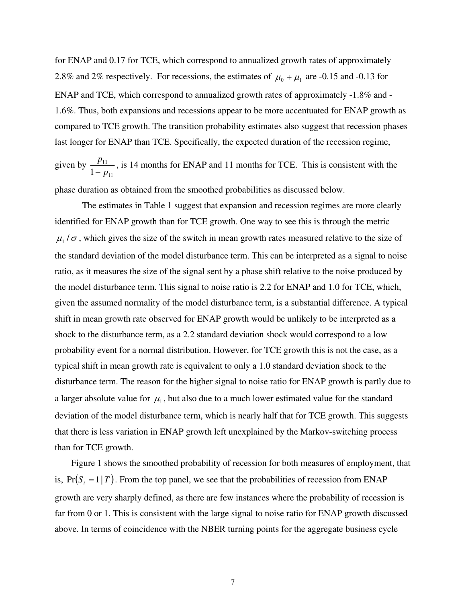for ENAP and 0.17 for TCE, which correspond to annualized growth rates of approximately 2.8% and 2% respectively. For recessions, the estimates of  $\mu_0 + \mu_1$  are -0.15 and -0.13 for ENAP and TCE, which correspond to annualized growth rates of approximately -1.8% and - 1.6%. Thus, both expansions and recessions appear to be more accentuated for ENAP growth as compared to TCE growth. The transition probability estimates also suggest that recession phases last longer for ENAP than TCE. Specifically, the expected duration of the recession regime,

given by 11 11  $1 - p$ *p*  $\overline{a}$ , is 14 months for ENAP and 11 months for TCE. This is consistent with the

phase duration as obtained from the smoothed probabilities as discussed below.

The estimates in Table 1 suggest that expansion and recession regimes are more clearly identified for ENAP growth than for TCE growth. One way to see this is through the metric  $\mu_1/\sigma$ , which gives the size of the switch in mean growth rates measured relative to the size of the standard deviation of the model disturbance term. This can be interpreted as a signal to noise ratio, as it measures the size of the signal sent by a phase shift relative to the noise produced by the model disturbance term. This signal to noise ratio is 2.2 for ENAP and 1.0 for TCE, which, given the assumed normality of the model disturbance term, is a substantial difference. A typical shift in mean growth rate observed for ENAP growth would be unlikely to be interpreted as a shock to the disturbance term, as a 2.2 standard deviation shock would correspond to a low probability event for a normal distribution. However, for TCE growth this is not the case, as a typical shift in mean growth rate is equivalent to only a 1.0 standard deviation shock to the disturbance term. The reason for the higher signal to noise ratio for ENAP growth is partly due to a larger absolute value for  $\mu_1$ , but also due to a much lower estimated value for the standard deviation of the model disturbance term, which is nearly half that for TCE growth. This suggests that there is less variation in ENAP growth left unexplained by the Markov-switching process than for TCE growth.

 Figure 1 shows the smoothed probability of recession for both measures of employment, that is,  $Pr(S_t = 1 | T)$ . From the top panel, we see that the probabilities of recession from ENAP growth are very sharply defined, as there are few instances where the probability of recession is far from 0 or 1. This is consistent with the large signal to noise ratio for ENAP growth discussed above. In terms of coincidence with the NBER turning points for the aggregate business cycle

7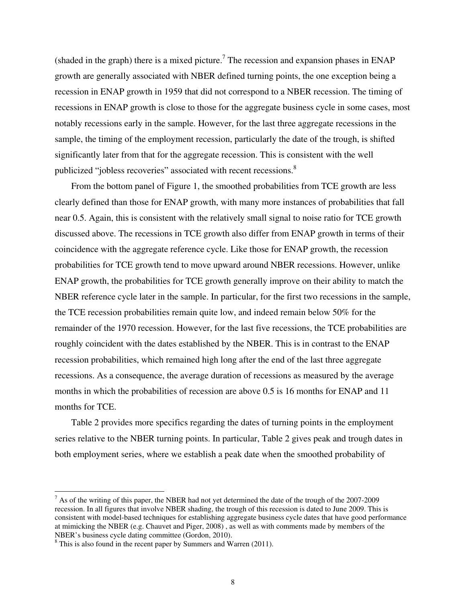(shaded in the graph) there is a mixed picture.<sup>7</sup> The recession and expansion phases in ENAP growth are generally associated with NBER defined turning points, the one exception being a recession in ENAP growth in 1959 that did not correspond to a NBER recession. The timing of recessions in ENAP growth is close to those for the aggregate business cycle in some cases, most notably recessions early in the sample. However, for the last three aggregate recessions in the sample, the timing of the employment recession, particularly the date of the trough, is shifted significantly later from that for the aggregate recession. This is consistent with the well publicized "jobless recoveries" associated with recent recessions.<sup>8</sup>

 From the bottom panel of Figure 1, the smoothed probabilities from TCE growth are less clearly defined than those for ENAP growth, with many more instances of probabilities that fall near 0.5. Again, this is consistent with the relatively small signal to noise ratio for TCE growth discussed above. The recessions in TCE growth also differ from ENAP growth in terms of their coincidence with the aggregate reference cycle. Like those for ENAP growth, the recession probabilities for TCE growth tend to move upward around NBER recessions. However, unlike ENAP growth, the probabilities for TCE growth generally improve on their ability to match the NBER reference cycle later in the sample. In particular, for the first two recessions in the sample, the TCE recession probabilities remain quite low, and indeed remain below 50% for the remainder of the 1970 recession. However, for the last five recessions, the TCE probabilities are roughly coincident with the dates established by the NBER. This is in contrast to the ENAP recession probabilities, which remained high long after the end of the last three aggregate recessions. As a consequence, the average duration of recessions as measured by the average months in which the probabilities of recession are above 0.5 is 16 months for ENAP and 11 months for TCE.

 Table 2 provides more specifics regarding the dates of turning points in the employment series relative to the NBER turning points. In particular, Table 2 gives peak and trough dates in both employment series, where we establish a peak date when the smoothed probability of

 $\overline{a}$ 

 $<sup>7</sup>$  As of the writing of this paper, the NBER had not yet determined the date of the trough of the 2007-2009</sup> recession. In all figures that involve NBER shading, the trough of this recession is dated to June 2009. This is consistent with model-based techniques for establishing aggregate business cycle dates that have good performance at mimicking the NBER (e.g. Chauvet and Piger, 2008) , as well as with comments made by members of the NBER's business cycle dating committee (Gordon, 2010).

 $8$  This is also found in the recent paper by Summers and Warren (2011).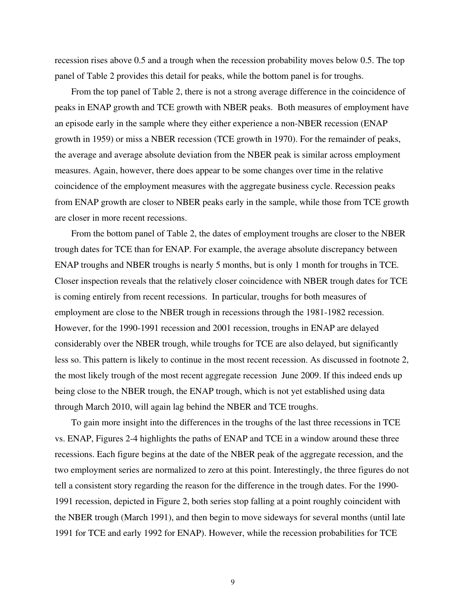recession rises above 0.5 and a trough when the recession probability moves below 0.5. The top panel of Table 2 provides this detail for peaks, while the bottom panel is for troughs.

 From the top panel of Table 2, there is not a strong average difference in the coincidence of peaks in ENAP growth and TCE growth with NBER peaks. Both measures of employment have an episode early in the sample where they either experience a non-NBER recession (ENAP growth in 1959) or miss a NBER recession (TCE growth in 1970). For the remainder of peaks, the average and average absolute deviation from the NBER peak is similar across employment measures. Again, however, there does appear to be some changes over time in the relative coincidence of the employment measures with the aggregate business cycle. Recession peaks from ENAP growth are closer to NBER peaks early in the sample, while those from TCE growth are closer in more recent recessions.

 From the bottom panel of Table 2, the dates of employment troughs are closer to the NBER trough dates for TCE than for ENAP. For example, the average absolute discrepancy between ENAP troughs and NBER troughs is nearly 5 months, but is only 1 month for troughs in TCE. Closer inspection reveals that the relatively closer coincidence with NBER trough dates for TCE is coming entirely from recent recessions. In particular, troughs for both measures of employment are close to the NBER trough in recessions through the 1981-1982 recession. However, for the 1990-1991 recession and 2001 recession, troughs in ENAP are delayed considerably over the NBER trough, while troughs for TCE are also delayed, but significantly less so. This pattern is likely to continue in the most recent recession. As discussed in footnote 2, the most likely trough of the most recent aggregate recession June 2009. If this indeed ends up being close to the NBER trough, the ENAP trough, which is not yet established using data through March 2010, will again lag behind the NBER and TCE troughs.

 To gain more insight into the differences in the troughs of the last three recessions in TCE vs. ENAP, Figures 2-4 highlights the paths of ENAP and TCE in a window around these three recessions. Each figure begins at the date of the NBER peak of the aggregate recession, and the two employment series are normalized to zero at this point. Interestingly, the three figures do not tell a consistent story regarding the reason for the difference in the trough dates. For the 1990- 1991 recession, depicted in Figure 2, both series stop falling at a point roughly coincident with the NBER trough (March 1991), and then begin to move sideways for several months (until late 1991 for TCE and early 1992 for ENAP). However, while the recession probabilities for TCE

9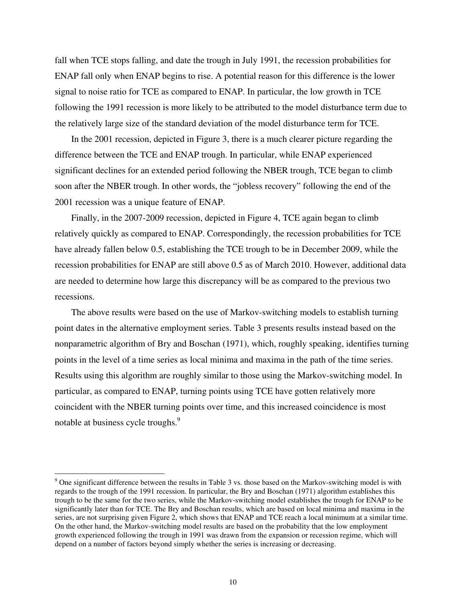fall when TCE stops falling, and date the trough in July 1991, the recession probabilities for ENAP fall only when ENAP begins to rise. A potential reason for this difference is the lower signal to noise ratio for TCE as compared to ENAP. In particular, the low growth in TCE following the 1991 recession is more likely to be attributed to the model disturbance term due to the relatively large size of the standard deviation of the model disturbance term for TCE.

 In the 2001 recession, depicted in Figure 3, there is a much clearer picture regarding the difference between the TCE and ENAP trough. In particular, while ENAP experienced significant declines for an extended period following the NBER trough, TCE began to climb soon after the NBER trough. In other words, the "jobless recovery" following the end of the 2001 recession was a unique feature of ENAP.

 Finally, in the 2007-2009 recession, depicted in Figure 4, TCE again began to climb relatively quickly as compared to ENAP. Correspondingly, the recession probabilities for TCE have already fallen below 0.5, establishing the TCE trough to be in December 2009, while the recession probabilities for ENAP are still above 0.5 as of March 2010. However, additional data are needed to determine how large this discrepancy will be as compared to the previous two recessions.

 The above results were based on the use of Markov-switching models to establish turning point dates in the alternative employment series. Table 3 presents results instead based on the nonparametric algorithm of Bry and Boschan (1971), which, roughly speaking, identifies turning points in the level of a time series as local minima and maxima in the path of the time series. Results using this algorithm are roughly similar to those using the Markov-switching model. In particular, as compared to ENAP, turning points using TCE have gotten relatively more coincident with the NBER turning points over time, and this increased coincidence is most notable at business cycle troughs.<sup>9</sup>

-

 $9$  One significant difference between the results in Table 3 vs. those based on the Markov-switching model is with regards to the trough of the 1991 recession. In particular, the Bry and Boschan (1971) algorithm establishes this trough to be the same for the two series, while the Markov-switching model establishes the trough for ENAP to be significantly later than for TCE. The Bry and Boschan results, which are based on local minima and maxima in the series, are not surprising given Figure 2, which shows that ENAP and TCE reach a local minimum at a similar time. On the other hand, the Markov-switching model results are based on the probability that the low employment growth experienced following the trough in 1991 was drawn from the expansion or recession regime, which will depend on a number of factors beyond simply whether the series is increasing or decreasing.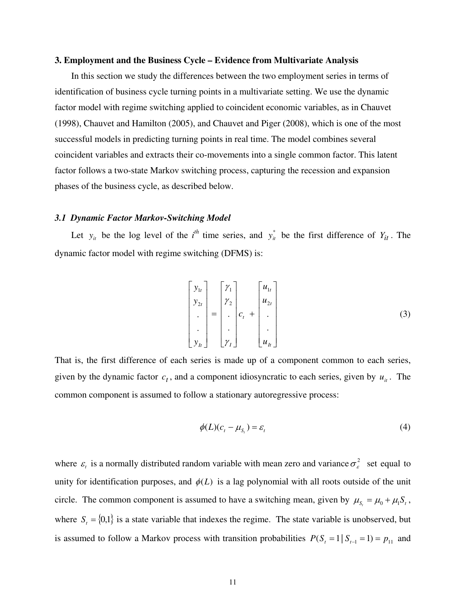#### **3. Employment and the Business Cycle – Evidence from Multivariate Analysis**

 In this section we study the differences between the two employment series in terms of identification of business cycle turning points in a multivariate setting. We use the dynamic factor model with regime switching applied to coincident economic variables, as in Chauvet (1998), Chauvet and Hamilton (2005), and Chauvet and Piger (2008), which is one of the most successful models in predicting turning points in real time. The model combines several coincident variables and extracts their co-movements into a single common factor. This latent factor follows a two-state Markov switching process, capturing the recession and expansion phases of the business cycle, as described below.

#### *3.1 Dynamic Factor Markov-Switching Model*

Let  $y_{it}$  be the log level of the *i*<sup>th</sup> time series, and  $y_{it}^*$  be the first difference of  $Y_{it}$ . The dynamic factor model with regime switching (DFMS) is:

$$
\begin{bmatrix} y_{1t} \\ y_{2t} \\ \vdots \\ y_{1t} \end{bmatrix} = \begin{bmatrix} \gamma_1 \\ \gamma_2 \\ \vdots \\ \gamma_t \end{bmatrix} c_t + \begin{bmatrix} u_{1t} \\ u_{2t} \\ \vdots \\ u_{1t} \end{bmatrix}
$$
 (3)

That is, the first difference of each series is made up of a component common to each series, given by the dynamic factor  $c_t$ , and a component idiosyncratic to each series, given by  $u_u$ . The common component is assumed to follow a stationary autoregressive process:

$$
\phi(L)(c_t - \mu_{S_t}) = \varepsilon_t \tag{4}
$$

where  $\varepsilon$ <sub>c</sub> is a normally distributed random variable with mean zero and variance  $\sigma_{\varepsilon}^2$  set equal to unity for identification purposes, and  $\phi(L)$  is a lag polynomial with all roots outside of the unit circle. The common component is assumed to have a switching mean, given by  $\mu_{S_t} = \mu_0 + \mu_1 S_t$ , where  $S_t = \{0,1\}$  is a state variable that indexes the regime. The state variable is unobserved, but is assumed to follow a Markov process with transition probabilities  $P(S_t = 1 | S_{t-1} = 1) = p_{11}$  and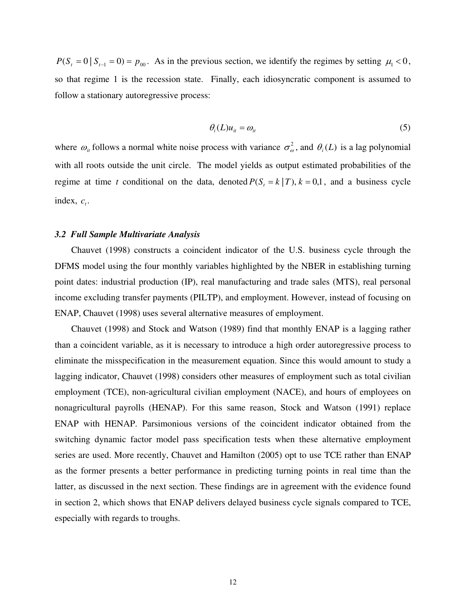$P(S<sub>t</sub> = 0 | S<sub>t-1</sub> = 0) = p<sub>00</sub>$ . As in the previous section, we identify the regimes by setting  $\mu_1 < 0$ , so that regime 1 is the recession state. Finally, each idiosyncratic component is assumed to follow a stationary autoregressive process:

$$
\theta_i(L)u_{it} = \omega_{it} \tag{5}
$$

where  $\omega_i$  follows a normal white noise process with variance  $\sigma_{\omega}^2$ , and  $\theta_i(L)$  is a lag polynomial with all roots outside the unit circle. The model yields as output estimated probabilities of the regime at time *t* conditional on the data, denoted  $P(S_t = k | T)$ ,  $k = 0,1$ , and a business cycle index,  $c_t$ .

#### *3.2 Full Sample Multivariate Analysis*

 Chauvet (1998) constructs a coincident indicator of the U.S. business cycle through the DFMS model using the four monthly variables highlighted by the NBER in establishing turning point dates: industrial production (IP), real manufacturing and trade sales (MTS), real personal income excluding transfer payments (PILTP), and employment. However, instead of focusing on ENAP, Chauvet (1998) uses several alternative measures of employment.

 Chauvet (1998) and Stock and Watson (1989) find that monthly ENAP is a lagging rather than a coincident variable, as it is necessary to introduce a high order autoregressive process to eliminate the misspecification in the measurement equation. Since this would amount to study a lagging indicator, Chauvet (1998) considers other measures of employment such as total civilian employment (TCE), non-agricultural civilian employment (NACE), and hours of employees on nonagricultural payrolls (HENAP). For this same reason, Stock and Watson (1991) replace ENAP with HENAP. Parsimonious versions of the coincident indicator obtained from the switching dynamic factor model pass specification tests when these alternative employment series are used. More recently, Chauvet and Hamilton (2005) opt to use TCE rather than ENAP as the former presents a better performance in predicting turning points in real time than the latter, as discussed in the next section. These findings are in agreement with the evidence found in section 2, which shows that ENAP delivers delayed business cycle signals compared to TCE, especially with regards to troughs.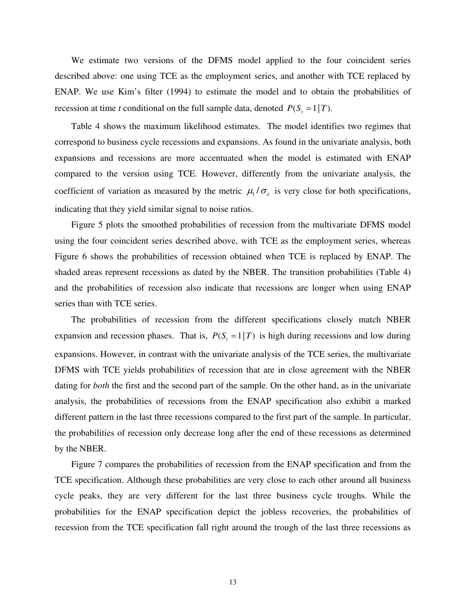We estimate two versions of the DFMS model applied to the four coincident series described above: one using TCE as the employment series, and another with TCE replaced by ENAP. We use Kim's filter (1994) to estimate the model and to obtain the probabilities of recession at time *t* conditional on the full sample data, denoted  $P(S_t = 1 | T)$ .

 Table 4 shows the maximum likelihood estimates. The model identifies two regimes that correspond to business cycle recessions and expansions. As found in the univariate analysis, both expansions and recessions are more accentuated when the model is estimated with ENAP compared to the version using TCE. However, differently from the univariate analysis, the coefficient of variation as measured by the metric  $\mu_1 / \sigma_{\varepsilon}$  is very close for both specifications, indicating that they yield similar signal to noise ratios.

 Figure 5 plots the smoothed probabilities of recession from the multivariate DFMS model using the four coincident series described above, with TCE as the employment series, whereas Figure 6 shows the probabilities of recession obtained when TCE is replaced by ENAP. The shaded areas represent recessions as dated by the NBER. The transition probabilities (Table 4) and the probabilities of recession also indicate that recessions are longer when using ENAP series than with TCE series.

 The probabilities of recession from the different specifications closely match NBER expansion and recession phases. That is,  $P(S_t = 1 | T)$  is high during recessions and low during expansions. However, in contrast with the univariate analysis of the TCE series, the multivariate DFMS with TCE yields probabilities of recession that are in close agreement with the NBER dating for *both* the first and the second part of the sample. On the other hand, as in the univariate analysis, the probabilities of recessions from the ENAP specification also exhibit a marked different pattern in the last three recessions compared to the first part of the sample. In particular, the probabilities of recession only decrease long after the end of these recessions as determined by the NBER.

 Figure 7 compares the probabilities of recession from the ENAP specification and from the TCE specification. Although these probabilities are very close to each other around all business cycle peaks, they are very different for the last three business cycle troughs. While the probabilities for the ENAP specification depict the jobless recoveries, the probabilities of recession from the TCE specification fall right around the trough of the last three recessions as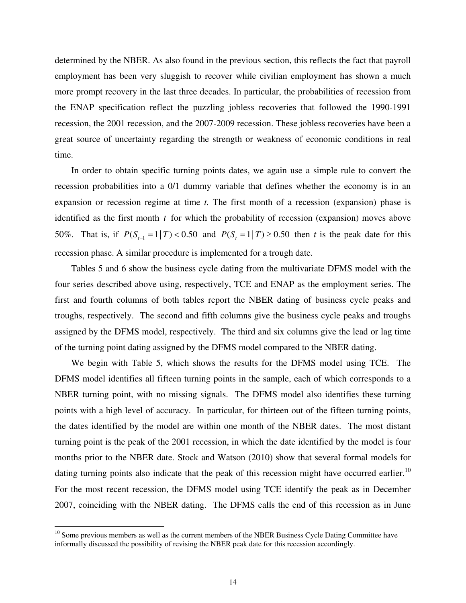determined by the NBER. As also found in the previous section, this reflects the fact that payroll employment has been very sluggish to recover while civilian employment has shown a much more prompt recovery in the last three decades. In particular, the probabilities of recession from the ENAP specification reflect the puzzling jobless recoveries that followed the 1990-1991 recession, the 2001 recession, and the 2007-2009 recession. These jobless recoveries have been a great source of uncertainty regarding the strength or weakness of economic conditions in real time.

 In order to obtain specific turning points dates, we again use a simple rule to convert the recession probabilities into a 0/1 dummy variable that defines whether the economy is in an expansion or recession regime at time *t.* The first month of a recession (expansion) phase is identified as the first month *t* for which the probability of recession (expansion) moves above 50%. That is, if  $P(S_{t-1} = 1 | T) < 0.50$  and  $P(S_t = 1 | T) \ge 0.50$  then *t* is the peak date for this recession phase. A similar procedure is implemented for a trough date.

 Tables 5 and 6 show the business cycle dating from the multivariate DFMS model with the four series described above using, respectively, TCE and ENAP as the employment series. The first and fourth columns of both tables report the NBER dating of business cycle peaks and troughs, respectively. The second and fifth columns give the business cycle peaks and troughs assigned by the DFMS model, respectively. The third and six columns give the lead or lag time of the turning point dating assigned by the DFMS model compared to the NBER dating.

 We begin with Table 5, which shows the results for the DFMS model using TCE. The DFMS model identifies all fifteen turning points in the sample, each of which corresponds to a NBER turning point, with no missing signals. The DFMS model also identifies these turning points with a high level of accuracy. In particular, for thirteen out of the fifteen turning points, the dates identified by the model are within one month of the NBER dates. The most distant turning point is the peak of the 2001 recession, in which the date identified by the model is four months prior to the NBER date. Stock and Watson (2010) show that several formal models for dating turning points also indicate that the peak of this recession might have occurred earlier.<sup>10</sup> For the most recent recession, the DFMS model using TCE identify the peak as in December 2007, coinciding with the NBER dating. The DFMS calls the end of this recession as in June

-

<sup>&</sup>lt;sup>10</sup> Some previous members as well as the current members of the NBER Business Cycle Dating Committee have informally discussed the possibility of revising the NBER peak date for this recession accordingly.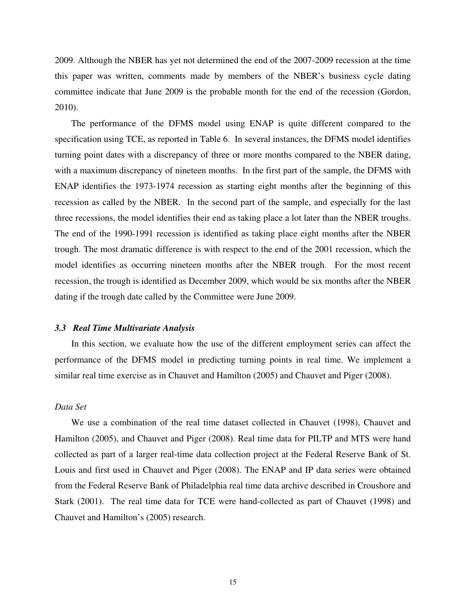2009. Although the NBER has yet not determined the end of the 2007-2009 recession at the time this paper was written, comments made by members of the NBER's business cycle dating committee indicate that June 2009 is the probable month for the end of the recession (Gordon, 2010).

 The performance of the DFMS model using ENAP is quite different compared to the specification using TCE, as reported in Table 6. In several instances, the DFMS model identifies turning point dates with a discrepancy of three or more months compared to the NBER dating, with a maximum discrepancy of nineteen months. In the first part of the sample, the DFMS with ENAP identifies the 1973-1974 recession as starting eight months after the beginning of this recession as called by the NBER. In the second part of the sample, and especially for the last three recessions, the model identifies their end as taking place a lot later than the NBER troughs. The end of the 1990-1991 recession is identified as taking place eight months after the NBER trough. The most dramatic difference is with respect to the end of the 2001 recession, which the model identifies as occurring nineteen months after the NBER trough. For the most recent recession, the trough is identified as December 2009, which would be six months after the NBER dating if the trough date called by the Committee were June 2009.

#### *3.3 Real Time Multivariate Analysis*

 In this section, we evaluate how the use of the different employment series can affect the performance of the DFMS model in predicting turning points in real time. We implement a similar real time exercise as in Chauvet and Hamilton (2005) and Chauvet and Piger (2008).

## *Data Set*

 We use a combination of the real time dataset collected in Chauvet (1998), Chauvet and Hamilton (2005), and Chauvet and Piger (2008). Real time data for PILTP and MTS were hand collected as part of a larger real-time data collection project at the Federal Reserve Bank of St. Louis and first used in Chauvet and Piger (2008). The ENAP and IP data series were obtained from the Federal Reserve Bank of Philadelphia real time data archive described in Croushore and Stark (2001). The real time data for TCE were hand-collected as part of Chauvet (1998) and Chauvet and Hamilton's (2005) research.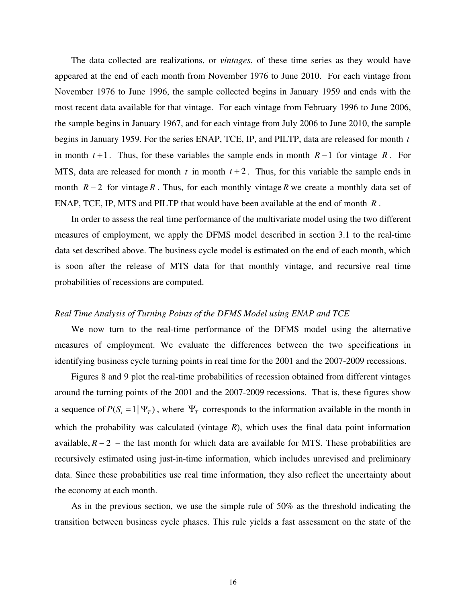The data collected are realizations, or *vintages*, of these time series as they would have appeared at the end of each month from November 1976 to June 2010. For each vintage from November 1976 to June 1996, the sample collected begins in January 1959 and ends with the most recent data available for that vintage. For each vintage from February 1996 to June 2006, the sample begins in January 1967, and for each vintage from July 2006 to June 2010, the sample begins in January 1959. For the series ENAP, TCE, IP, and PILTP, data are released for month *t* in month  $t+1$ . Thus, for these variables the sample ends in month  $R-1$  for vintage  $R$ . For MTS, data are released for month  $t$  in month  $t + 2$ . Thus, for this variable the sample ends in month  $R-2$  for vintage R. Thus, for each monthly vintage R we create a monthly data set of ENAP, TCE, IP, MTS and PILTP that would have been available at the end of month *R* .

In order to assess the real time performance of the multivariate model using the two different measures of employment, we apply the DFMS model described in section 3.1 to the real-time data set described above. The business cycle model is estimated on the end of each month, which is soon after the release of MTS data for that monthly vintage, and recursive real time probabilities of recessions are computed.

### *Real Time Analysis of Turning Points of the DFMS Model using ENAP and TCE*

 We now turn to the real-time performance of the DFMS model using the alternative measures of employment. We evaluate the differences between the two specifications in identifying business cycle turning points in real time for the 2001 and the 2007-2009 recessions.

 Figures 8 and 9 plot the real-time probabilities of recession obtained from different vintages around the turning points of the 2001 and the 2007-2009 recessions. That is, these figures show a sequence of  $P(S_t = 1 | \Psi_T)$ , where  $\Psi_T$  corresponds to the information available in the month in which the probability was calculated (vintage *R*), which uses the final data point information available,  $R - 2$  – the last month for which data are available for MTS. These probabilities are recursively estimated using just-in-time information, which includes unrevised and preliminary data. Since these probabilities use real time information, they also reflect the uncertainty about the economy at each month.

 As in the previous section, we use the simple rule of 50% as the threshold indicating the transition between business cycle phases. This rule yields a fast assessment on the state of the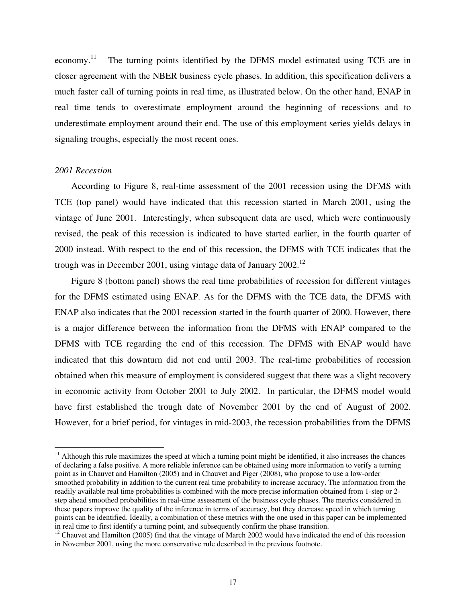economy.<sup>11</sup> The turning points identified by the DFMS model estimated using TCE are in closer agreement with the NBER business cycle phases. In addition, this specification delivers a much faster call of turning points in real time, as illustrated below. On the other hand, ENAP in real time tends to overestimate employment around the beginning of recessions and to underestimate employment around their end. The use of this employment series yields delays in signaling troughs, especially the most recent ones.

#### *2001 Recession*

-

 According to Figure 8, real-time assessment of the 2001 recession using the DFMS with TCE (top panel) would have indicated that this recession started in March 2001, using the vintage of June 2001. Interestingly, when subsequent data are used, which were continuously revised, the peak of this recession is indicated to have started earlier, in the fourth quarter of 2000 instead. With respect to the end of this recession, the DFMS with TCE indicates that the trough was in December 2001, using vintage data of January  $2002<sup>12</sup>$ 

 Figure 8 (bottom panel) shows the real time probabilities of recession for different vintages for the DFMS estimated using ENAP. As for the DFMS with the TCE data, the DFMS with ENAP also indicates that the 2001 recession started in the fourth quarter of 2000. However, there is a major difference between the information from the DFMS with ENAP compared to the DFMS with TCE regarding the end of this recession. The DFMS with ENAP would have indicated that this downturn did not end until 2003. The real-time probabilities of recession obtained when this measure of employment is considered suggest that there was a slight recovery in economic activity from October 2001 to July 2002. In particular, the DFMS model would have first established the trough date of November 2001 by the end of August of 2002. However, for a brief period, for vintages in mid-2003, the recession probabilities from the DFMS

 $<sup>11</sup>$  Although this rule maximizes the speed at which a turning point might be identified, it also increases the chances</sup> of declaring a false positive. A more reliable inference can be obtained using more information to verify a turning point as in Chauvet and Hamilton (2005) and in Chauvet and Piger (2008), who propose to use a low-order smoothed probability in addition to the current real time probability to increase accuracy. The information from the readily available real time probabilities is combined with the more precise information obtained from 1-step or 2 step ahead smoothed probabilities in real-time assessment of the business cycle phases. The metrics considered in these papers improve the quality of the inference in terms of accuracy, but they decrease speed in which turning points can be identified. Ideally, a combination of these metrics with the one used in this paper can be implemented in real time to first identify a turning point, and subsequently confirm the phase transition.

<sup>&</sup>lt;sup>12</sup> Chauvet and Hamilton (2005) find that the vintage of March 2002 would have indicated the end of this recession in November 2001, using the more conservative rule described in the previous footnote.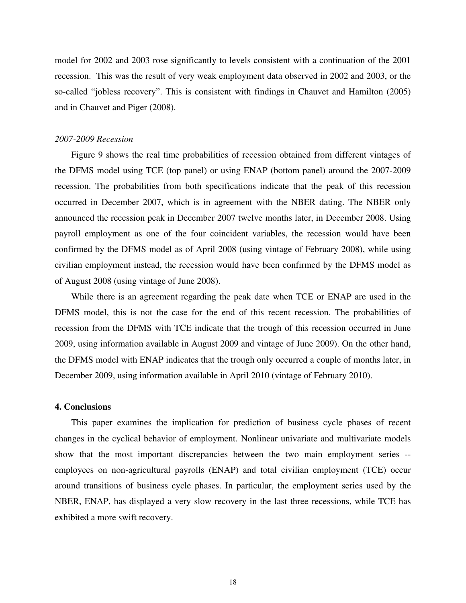model for 2002 and 2003 rose significantly to levels consistent with a continuation of the 2001 recession. This was the result of very weak employment data observed in 2002 and 2003, or the so-called "jobless recovery". This is consistent with findings in Chauvet and Hamilton (2005) and in Chauvet and Piger (2008).

#### *2007-2009 Recession*

 Figure 9 shows the real time probabilities of recession obtained from different vintages of the DFMS model using TCE (top panel) or using ENAP (bottom panel) around the 2007-2009 recession. The probabilities from both specifications indicate that the peak of this recession occurred in December 2007, which is in agreement with the NBER dating. The NBER only announced the recession peak in December 2007 twelve months later, in December 2008. Using payroll employment as one of the four coincident variables, the recession would have been confirmed by the DFMS model as of April 2008 (using vintage of February 2008), while using civilian employment instead, the recession would have been confirmed by the DFMS model as of August 2008 (using vintage of June 2008).

 While there is an agreement regarding the peak date when TCE or ENAP are used in the DFMS model, this is not the case for the end of this recent recession. The probabilities of recession from the DFMS with TCE indicate that the trough of this recession occurred in June 2009, using information available in August 2009 and vintage of June 2009). On the other hand, the DFMS model with ENAP indicates that the trough only occurred a couple of months later, in December 2009, using information available in April 2010 (vintage of February 2010).

#### **4. Conclusions**

 This paper examines the implication for prediction of business cycle phases of recent changes in the cyclical behavior of employment. Nonlinear univariate and multivariate models show that the most important discrepancies between the two main employment series - employees on non-agricultural payrolls (ENAP) and total civilian employment (TCE) occur around transitions of business cycle phases. In particular, the employment series used by the NBER, ENAP, has displayed a very slow recovery in the last three recessions, while TCE has exhibited a more swift recovery.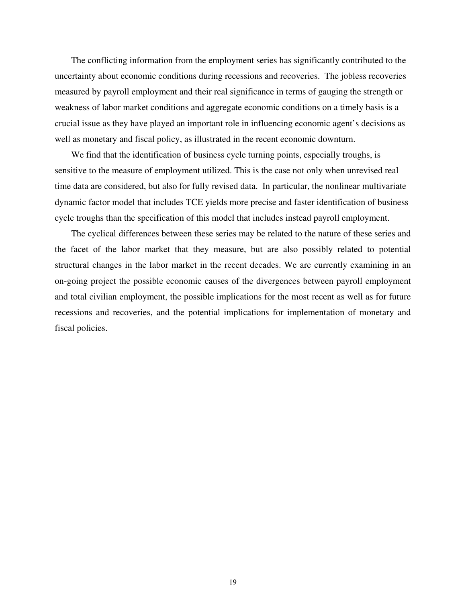The conflicting information from the employment series has significantly contributed to the uncertainty about economic conditions during recessions and recoveries. The jobless recoveries measured by payroll employment and their real significance in terms of gauging the strength or weakness of labor market conditions and aggregate economic conditions on a timely basis is a crucial issue as they have played an important role in influencing economic agent's decisions as well as monetary and fiscal policy, as illustrated in the recent economic downturn.

 We find that the identification of business cycle turning points, especially troughs, is sensitive to the measure of employment utilized. This is the case not only when unrevised real time data are considered, but also for fully revised data. In particular, the nonlinear multivariate dynamic factor model that includes TCE yields more precise and faster identification of business cycle troughs than the specification of this model that includes instead payroll employment.

 The cyclical differences between these series may be related to the nature of these series and the facet of the labor market that they measure, but are also possibly related to potential structural changes in the labor market in the recent decades. We are currently examining in an on-going project the possible economic causes of the divergences between payroll employment and total civilian employment, the possible implications for the most recent as well as for future recessions and recoveries, and the potential implications for implementation of monetary and fiscal policies.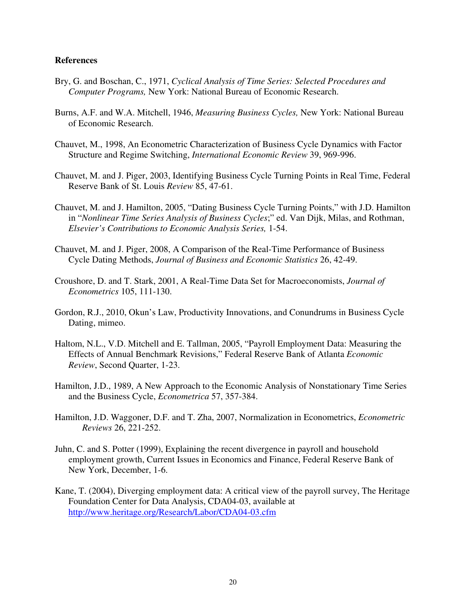### **References**

- Bry, G. and Boschan, C., 1971, *Cyclical Analysis of Time Series: Selected Procedures and Computer Programs,* New York: National Bureau of Economic Research.
- Burns, A.F. and W.A. Mitchell, 1946, *Measuring Business Cycles,* New York: National Bureau of Economic Research.
- Chauvet, M., 1998, An Econometric Characterization of Business Cycle Dynamics with Factor Structure and Regime Switching, *International Economic Review* 39, 969-996.
- Chauvet, M. and J. Piger, 2003, Identifying Business Cycle Turning Points in Real Time, Federal Reserve Bank of St. Louis *Review* 85, 47-61.
- Chauvet, M. and J. Hamilton, 2005, "Dating Business Cycle Turning Points," with J.D. Hamilton in "*Nonlinear Time Series Analysis of Business Cycles*;" ed. Van Dijk, Milas, and Rothman, *Elsevier's Contributions to Economic Analysis Series,* 1-54.
- Chauvet, M. and J. Piger, 2008, A Comparison of the Real-Time Performance of Business Cycle Dating Methods, *Journal of Business and Economic Statistics* 26, 42-49.
- Croushore, D. and T. Stark, 2001, A Real-Time Data Set for Macroeconomists, *Journal of Econometrics* 105, 111-130.
- Gordon, R.J., 2010, Okun's Law, Productivity Innovations, and Conundrums in Business Cycle Dating, mimeo.
- Haltom, N.L., V.D. Mitchell and E. Tallman, 2005, "Payroll Employment Data: Measuring the Effects of Annual Benchmark Revisions," Federal Reserve Bank of Atlanta *Economic Review*, Second Quarter, 1-23.
- Hamilton, J.D., 1989, A New Approach to the Economic Analysis of Nonstationary Time Series and the Business Cycle, *Econometrica* 57, 357-384.
- Hamilton, J.D. Waggoner, D.F. and T. Zha, 2007, Normalization in Econometrics, *Econometric Reviews* 26, 221-252.
- Juhn, C. and S. Potter (1999), Explaining the recent divergence in payroll and household employment growth, Current Issues in Economics and Finance, Federal Reserve Bank of New York, December, 1-6.
- Kane, T. (2004), Diverging employment data: A critical view of the payroll survey, The Heritage Foundation Center for Data Analysis, CDA04-03, available at http://www.heritage.org/Research/Labor/CDA04-03.cfm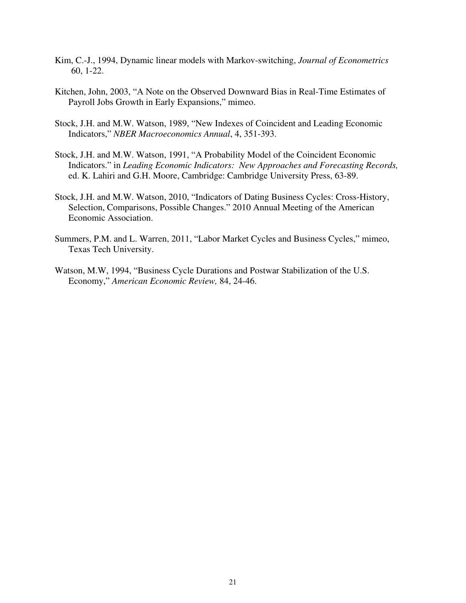- Kim, C.-J., 1994, Dynamic linear models with Markov-switching, *Journal of Econometrics* 60, 1-22.
- Kitchen, John, 2003, "A Note on the Observed Downward Bias in Real-Time Estimates of Payroll Jobs Growth in Early Expansions," mimeo.
- Stock, J.H. and M.W. Watson, 1989, "New Indexes of Coincident and Leading Economic Indicators," *NBER Macroeconomics Annual*, 4, 351-393.
- Stock, J.H. and M.W. Watson, 1991, "A Probability Model of the Coincident Economic Indicators." in *Leading Economic Indicators: New Approaches and Forecasting Records,* ed. K. Lahiri and G.H. Moore, Cambridge: Cambridge University Press, 63-89.
- Stock, J.H. and M.W. Watson, 2010, "Indicators of Dating Business Cycles: Cross-History, Selection, Comparisons, Possible Changes." 2010 Annual Meeting of the American Economic Association.
- Summers, P.M. and L. Warren, 2011, "Labor Market Cycles and Business Cycles," mimeo, Texas Tech University.
- Watson, M.W, 1994, "Business Cycle Durations and Postwar Stabilization of the U.S. Economy," *American Economic Review,* 84, 24-46.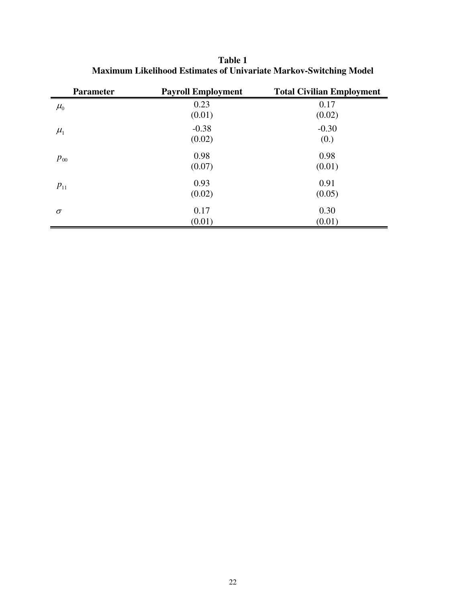**Table 1 Maximum Likelihood Estimates of Univariate Markov-Switching Model** 

| <b>Parameter</b> | <b>Payroll Employment</b> | <b>Total Civilian Employment</b> |
|------------------|---------------------------|----------------------------------|
| $\mu_{0}$        | 0.23                      | 0.17                             |
| $\mu_{1}$        | (0.01)<br>$-0.38$         | (0.02)<br>$-0.30$                |
|                  | (0.02)                    | (0.)                             |
| $p_{00}$         | 0.98<br>(0.07)            | 0.98<br>(0.01)                   |
| $p_{11}$         | 0.93                      | 0.91                             |
|                  | (0.02)                    | (0.05)                           |
| $\sigma$         | 0.17                      | 0.30                             |
|                  | (0.01)                    | (0.01)                           |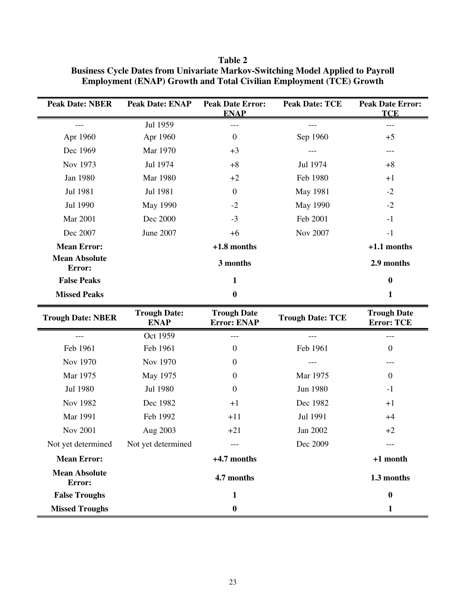| <b>Peak Date: NBER</b>         | <b>Peak Date: ENAP</b>             | <b>Peak Date Error:</b><br><b>Peak Date: TCE</b><br><b>ENAP</b> |                         | <b>Peak Date Error:</b><br><b>TCE</b>   |  |
|--------------------------------|------------------------------------|-----------------------------------------------------------------|-------------------------|-----------------------------------------|--|
| $---$                          | Jul 1959                           | ---<br>$---$                                                    |                         | ---                                     |  |
| Apr 1960                       | Apr 1960                           | $\boldsymbol{0}$                                                | Sep 1960                |                                         |  |
| Dec 1969                       | Mar 1970                           | $+3$                                                            |                         | ---                                     |  |
| Nov 1973                       | Jul 1974                           | $+8$                                                            | Jul 1974                | $+8$                                    |  |
| Jan 1980                       | Mar 1980                           | $+2$                                                            | Feb 1980                | $+1$                                    |  |
| Jul 1981                       | Jul 1981                           | $\boldsymbol{0}$                                                | May 1981                | $-2$                                    |  |
| Jul 1990                       | May 1990                           | $-2$                                                            | May 1990                | $-2$                                    |  |
| Mar 2001                       | Dec 2000                           | $-3$                                                            | Feb 2001                | $-1$                                    |  |
| Dec 2007                       | June 2007                          | Nov 2007<br>$+6$                                                |                         | $-1$                                    |  |
| <b>Mean Error:</b>             |                                    | $+1.8$ months                                                   |                         | $+1.1$ months                           |  |
| <b>Mean Absolute</b><br>Error: |                                    | 3 months                                                        |                         | 2.9 months                              |  |
| <b>False Peaks</b>             | $\mathbf{1}$                       |                                                                 |                         | $\bf{0}$                                |  |
| <b>Missed Peaks</b>            |                                    | $\bf{0}$                                                        |                         | $\mathbf{1}$                            |  |
| <b>Trough Date: NBER</b>       | <b>Trough Date:</b><br><b>ENAP</b> | <b>Trough Date</b><br><b>Error: ENAP</b>                        | <b>Trough Date: TCE</b> | <b>Trough Date</b><br><b>Error: TCE</b> |  |
|                                | Oct 1959                           |                                                                 |                         |                                         |  |
| Feb 1961                       | Feb 1961                           | $\boldsymbol{0}$                                                | Feb 1961                | $\boldsymbol{0}$                        |  |
| Nov 1970                       | Nov 1970                           | $\boldsymbol{0}$                                                |                         | ---                                     |  |
| Mar 1975                       | May 1975                           | $\overline{0}$                                                  | Mar 1975                | $\boldsymbol{0}$                        |  |
| Jul 1980                       | Jul 1980                           | $\boldsymbol{0}$                                                | Jun 1980                | $-1$                                    |  |
| Nov 1982                       | Dec 1982                           | Dec 1982<br>$+1$                                                |                         | $+1$                                    |  |
| Mar 1991                       | Feb 1992                           | $+11$<br>Jul 1991                                               |                         | $+4$                                    |  |
| <b>Nov 2001</b>                | Aug 2003                           | Jan 2002<br>$+21$                                               |                         | $+2$                                    |  |
| Not yet determined             | Not yet determined                 | Dec 2009                                                        |                         |                                         |  |
| <b>Mean Error:</b>             |                                    | $+4.7$ months                                                   |                         | +1 month                                |  |
| <b>Mean Absolute</b><br>Error: |                                    | 4.7 months                                                      |                         | 1.3 months                              |  |
| <b>False Troughs</b>           |                                    | $\mathbf{1}$                                                    |                         | $\bf{0}$                                |  |
| <b>Missed Troughs</b>          |                                    | $\bf{0}$                                                        |                         | 1                                       |  |

**Table 2 Business Cycle Dates from Univariate Markov-Switching Model Applied to Payroll Employment (ENAP) Growth and Total Civilian Employment (TCE) Growth**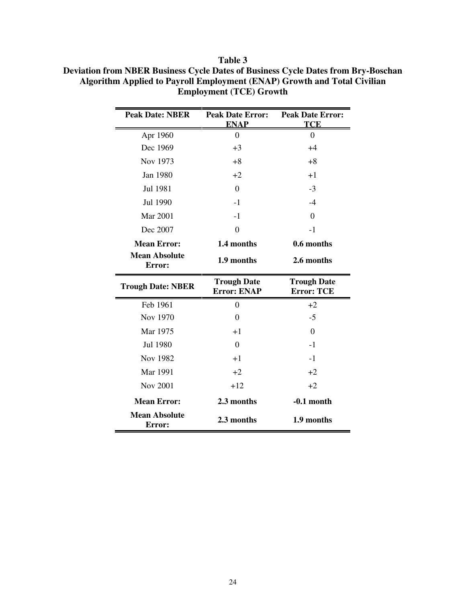| <b>Peak Date: NBER</b>         | <b>Peak Date Error:</b><br><b>ENAP</b>   | <b>Peak Date Error:</b><br><b>TCE</b>   |  |
|--------------------------------|------------------------------------------|-----------------------------------------|--|
| Apr 1960                       | $\boldsymbol{0}$                         | $\overline{0}$                          |  |
| Dec 1969                       | $+3$                                     | $+4$                                    |  |
| Nov 1973                       | $+8$                                     | $+8$                                    |  |
| Jan 1980                       | $+2$                                     | $+1$                                    |  |
| Jul 1981                       | $\theta$                                 | $-3$                                    |  |
| Jul 1990                       | $-1$                                     | $-4$                                    |  |
| <b>Mar 2001</b>                | $-1$                                     | $\overline{0}$                          |  |
| Dec 2007                       | $\overline{0}$                           | $-1$                                    |  |
| <b>Mean Error:</b>             | 1.4 months                               | 0.6 months                              |  |
| <b>Mean Absolute</b><br>Error: | 1.9 months                               | 2.6 months                              |  |
|                                |                                          |                                         |  |
| <b>Trough Date: NBER</b>       | <b>Trough Date</b><br><b>Error: ENAP</b> | <b>Trough Date</b><br><b>Error: TCE</b> |  |
| Feb 1961                       | $\Omega$                                 | $+2$                                    |  |
| Nov 1970                       | $\theta$                                 | $-5$                                    |  |
| Mar 1975                       | $+1$                                     | $\Omega$                                |  |
| Jul 1980                       | $\theta$                                 | $-1$                                    |  |
| Nov 1982                       | $+1$                                     | $-1$                                    |  |
| Mar 1991                       | $+2$                                     | $+2$                                    |  |
| <b>Nov 2001</b>                | $+12$                                    | $+2$                                    |  |
| <b>Mean Error:</b>             | 2.3 months                               | $-0.1$ month                            |  |

**Table 3 Deviation from NBER Business Cycle Dates of Business Cycle Dates from Bry-Boschan Algorithm Applied to Payroll Employment (ENAP) Growth and Total Civilian Employment (TCE) Growth**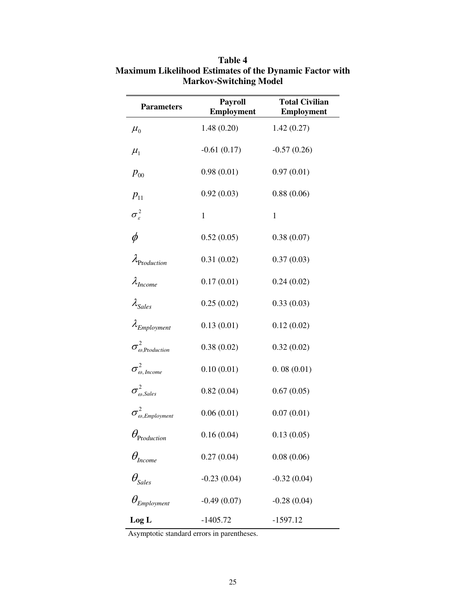| <b>Parameters</b>                        | <b>Payroll</b><br><b>Employment</b> | <b>Total Civilian</b><br>Employment |
|------------------------------------------|-------------------------------------|-------------------------------------|
| $\mu_{0}$                                | 1.48(0.20)                          | 1.42(0.27)                          |
| $\mu_{1}$                                | $-0.61(0.17)$                       | $-0.57(0.26)$                       |
| $p_{00}$                                 | 0.98(0.01)                          | 0.97(0.01)                          |
| $p_{11}$                                 | 0.92(0.03)                          | 0.88(0.06)                          |
| $\sigma_{\varepsilon}^2$                 | $\mathbf{1}$                        | $\mathbf{1}$                        |
| $\phi$                                   | 0.52(0.05)                          | 0.38(0.07)                          |
| Production                               | 0.31(0.02)                          | 0.37(0.03)                          |
| $\lambda_{Income}$                       | 0.17(0.01)                          | 0.24(0.02)                          |
| $\lambda_{\textit{Sales}}$               | 0.25(0.02)                          | 0.33(0.03)                          |
| $\lambda_{Employment}$                   | 0.13(0.01)                          | 0.12(0.02)                          |
| $\sigma^2_{\omega, \text{Production}}$   | 0.38(0.02)                          | 0.32(0.02)                          |
| $\sigma^2_{\omega,\,Income}$             | 0.10(0.01)                          | 0.08(0.01)                          |
| $\sigma_{\omega,\textit{Sales}}^2$       | 0.82(0.04)                          | 0.67(0.05)                          |
| $\sigma^2_{\omega, \textit{Employment}}$ | 0.06(0.01)                          | 0.07(0.01)                          |
| $\theta_{\text{Production}}$             | 0.16(0.04)                          | 0.13(0.05)                          |
| $\theta_{\textit{Income}}$               | 0.27(0.04)                          | 0.08(0.06)                          |
| $\theta_{\text{sales}}$                  | $-0.23(0.04)$                       | $-0.32(0.04)$                       |
| $\theta_{Employment}$                    | $-0.49(0.07)$                       | $-0.28(0.04)$                       |
| Log <sub>L</sub>                         | $-1405.72$                          | $-1597.12$                          |

# **Table 4 Maximum Likelihood Estimates of the Dynamic Factor with Markov-Switching Model**

Asymptotic standard errors in parentheses.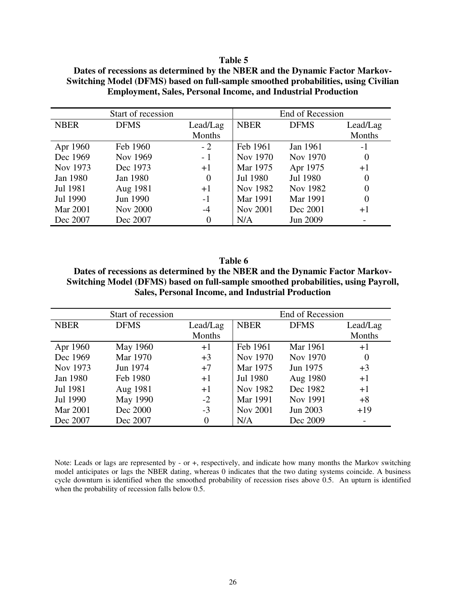#### **Table 5**

| Start of recession |                 | End of Recession |                 |             |          |
|--------------------|-----------------|------------------|-----------------|-------------|----------|
| <b>NBER</b>        | <b>DFMS</b>     | Lead/Lag         | <b>NBER</b>     | <b>DFMS</b> | Lead/Lag |
|                    |                 | Months           |                 |             | Months   |
| Apr 1960           | Feb 1960        | $-2$             | Feb 1961        | Jan 1961    | $-1$     |
| Dec 1969           | Nov 1969        | $-1$             | Nov 1970        | Nov 1970    | $\theta$ |
| Nov 1973           | Dec 1973        | $+1$             | Mar 1975        | Apr 1975    | $+1$     |
| Jan 1980           | Jan 1980        | $\theta$         | Jul 1980        | Jul 1980    | $\Omega$ |
| Jul 1981           | Aug 1981        | $+1$             | Nov 1982        | Nov 1982    | $\theta$ |
| Jul 1990           | Jun 1990        | $-1$             | Mar 1991        | Mar 1991    | $\theta$ |
| <b>Mar 2001</b>    | <b>Nov 2000</b> | $-4$             | <b>Nov 2001</b> | Dec 2001    | $+1$     |
| Dec 2007           | Dec 2007        | $\theta$         | N/A             | Jun 2009    |          |

**Dates of recessions as determined by the NBER and the Dynamic Factor Markov-Switching Model (DFMS) based on full-sample smoothed probabilities, using Civilian Employment, Sales, Personal Income, and Industrial Production**

**Table 6 Dates of recessions as determined by the NBER and the Dynamic Factor Markov-Switching Model (DFMS) based on full-sample smoothed probabilities, using Payroll, Sales, Personal Income, and Industrial Production** 

| Start of recession |             |                | End of Recession |             |                          |
|--------------------|-------------|----------------|------------------|-------------|--------------------------|
| <b>NBER</b>        | <b>DFMS</b> | Lead/Lag       | <b>NBER</b>      | <b>DFMS</b> | Lead/Lag                 |
|                    |             | Months         |                  |             | Months                   |
| Apr 1960           | May 1960    | $+1$           | Feb 1961         | Mar 1961    | $+1$                     |
| Dec 1969           | Mar 1970    | $+3$           | Nov 1970         | Nov 1970    | $\theta$                 |
| Nov 1973           | Jun 1974    | $+7$           | Mar 1975         | Jun 1975    | $+3$                     |
| Jan 1980           | Feb 1980    | $+1$           | Jul 1980         | Aug 1980    | $+1$                     |
| Jul 1981           | Aug 1981    | $+1$           | Nov 1982         | Dec 1982    | $+1$                     |
| Jul 1990           | May 1990    | $-2$           | Mar 1991         | Nov 1991    | $+8$                     |
| <b>Mar 2001</b>    | Dec 2000    | $-3$           | <b>Nov 2001</b>  | Jun 2003    | $+19$                    |
| Dec 2007           | Dec 2007    | $\overline{0}$ | N/A              | Dec 2009    | $\overline{\phantom{a}}$ |

Note: Leads or lags are represented by - or +, respectively, and indicate how many months the Markov switching model anticipates or lags the NBER dating, whereas 0 indicates that the two dating systems coincide. A business cycle downturn is identified when the smoothed probability of recession rises above 0.5. An upturn is identified when the probability of recession falls below 0.5.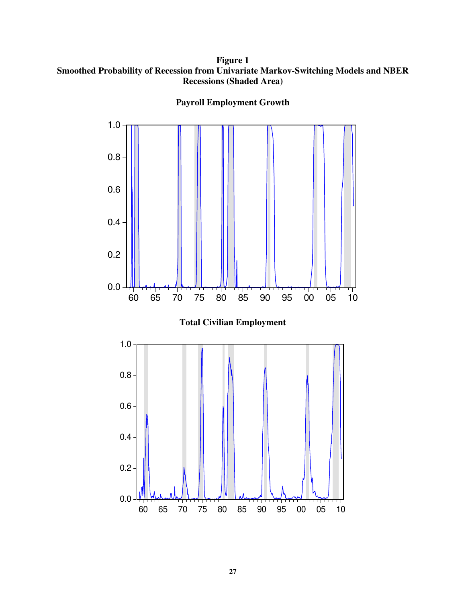**Figure 1 Smoothed Probability of Recession from Univariate Markov-Switching Models and NBER Recessions (Shaded Area)** 



**Payroll Employment Growth**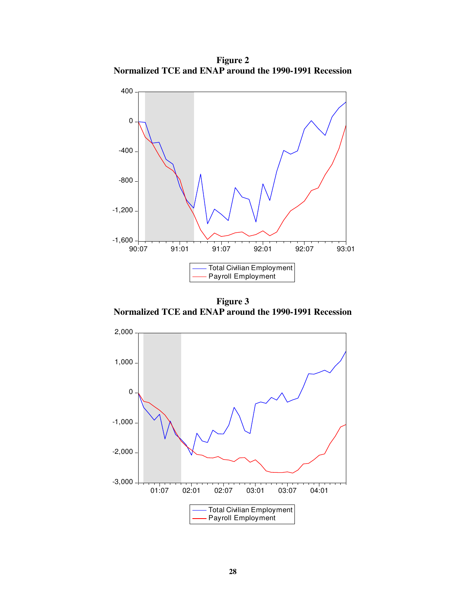**Figure 2 Normalized TCE and ENAP around the 1990-1991 Recession** 



**Figure 3 Normalized TCE and ENAP around the 1990-1991 Recession**

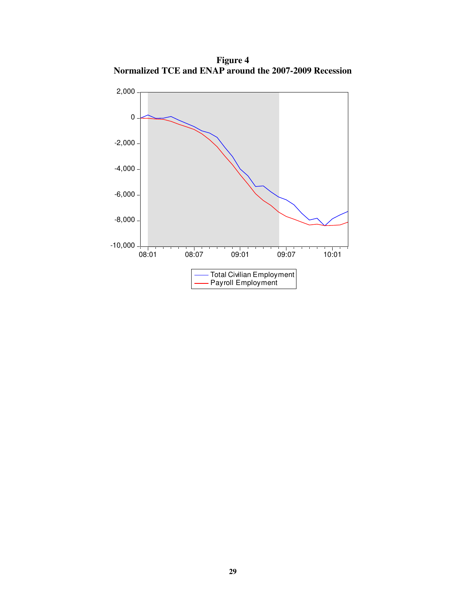**Figure 4 Normalized TCE and ENAP around the 2007-2009 Recession** 

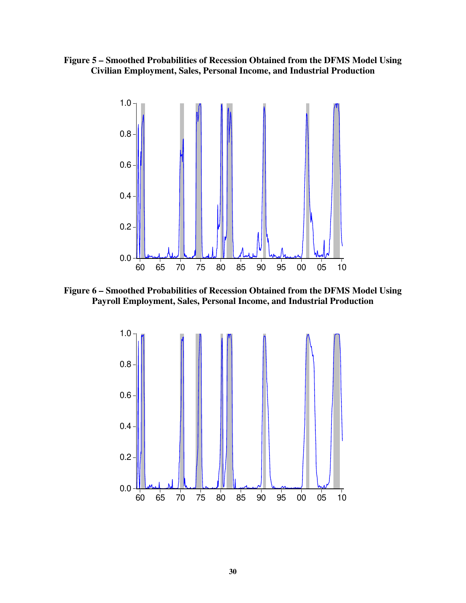



**Figure 6 – Smoothed Probabilities of Recession Obtained from the DFMS Model Using Payroll Employment, Sales, Personal Income, and Industrial Production** 

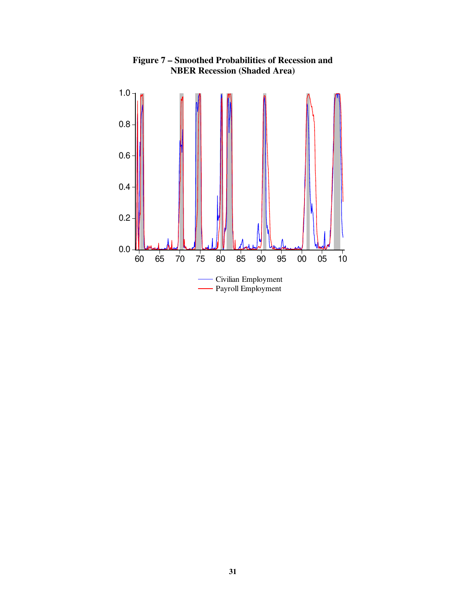

**Figure 7 – Smoothed Probabilities of Recession and NBER Recession (Shaded Area)**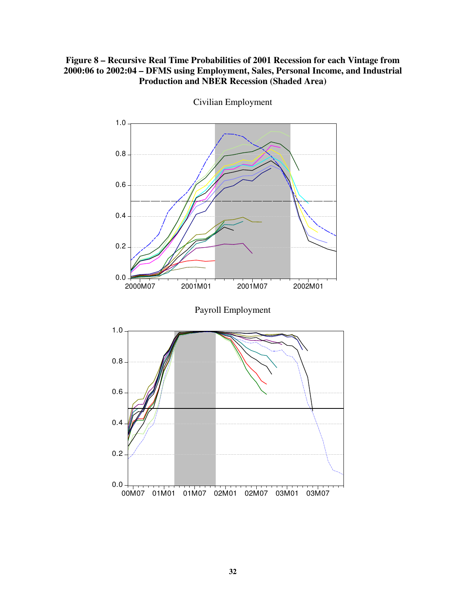## **Figure 8 – Recursive Real Time Probabilities of 2001 Recession for each Vintage from 2000:06 to 2002:04 – DFMS using Employment, Sales, Personal Income, and Industrial Production and NBER Recession (Shaded Area)**



Civilian Employment